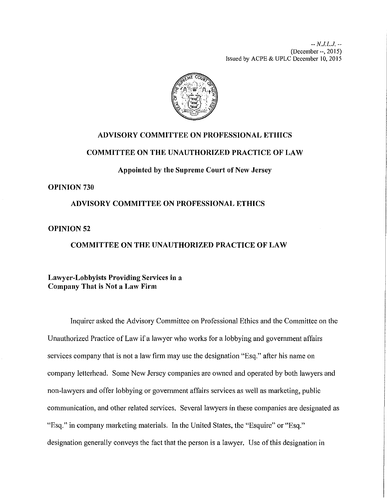

## **ADVISORY COMMITTEE ON PROFESSIONAL ETHICS**

### **COMMITTEE ON THE UNAUTHORIZED PRACTICE OF LAW**

**Appointed by the Supreme Court of New Jersey** 

## **OPINION 730**

## **ADVISORY COMMITTEE ON PROFESSIONAL ETHICS**

### **OPINION 52**

# **COMMITTEE ON THE UNAUTHORIZED PRACTICE OF LAW**

## **Lawyer-Lobbyists Providing Services in a Company That is Not a Law Firm**

Inquirer asked the Advisory Committee on Professional Ethics and the Committee on the Unauthorized Practice of Law if a lawyer who works for a lobbying and government affairs services company that is not a law firm may use the designation "Esq." after his name on company letterhead. Some New Jersey companies are owned and operated by both lawyers and non-lawyers and offer lobbying or government affairs services as well as marketing, public communication, and other related services. Several lawyers in these companies are designated as "Esq." in company marketing materials. In the United States, the "Esquire" or "Esq." designation generally conveys the fact that the person is a lawyer. Use of this designation in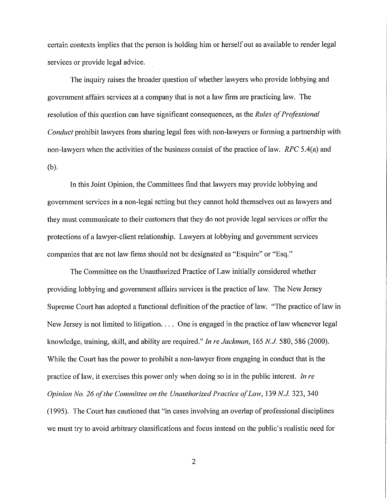certain contexts implies that the person is holding him or herself out as available to render legal services or provide legal advice.

The inquiry raises the broader question of whether lawyers who provide lobbying and government affairs services at a company that is not a law firm are practicing law. The resolution of this question can have significant consequences, as the *Rules of Professional Conduct* prohibit lawyers from sharing legal fees with non-lawyers or forming a partnership with non-lawyers when the activities of the business consist of the practice of law. *RPC* 5.4(a) and (b).

In this Joint Opinion, the Committees find that lawyers may provide lobbying and government services in a non-legal setting but they cannot hold themselves out as lawyers and they must communicate to their customers that they do not provide legal services or offer the protections of a lawyer-client relationship. Lawyers at lobbying and government services companies that are not law firms should not be designated as "Esquire" or "Esq."

The Committee on the Unauthorized Practice of Law initially considered whether providing lobbying and government affairs services is the practice of law. The New Jersey Supreme Court has adopted a functional definition of the practice of law. "The practice of law in New Jersey is not limited to litigation.... One is engaged in the practice of law whenever legal knowledge, training, skill, and ability are required." *In re Jackman,* 165 N.J. 580, 586 (2000). While the Court has the power to prohibit a non-lawyer from engaging in conduct that is the practice of law, it exercises this power only when doing so is in the public interest. *In re Opinion No. 26 of the Committee on the Unauthorized Practice of Law, 139 N.J. 323, 340* (1995). The Court has cautioned that "in cases involving an overlap of professional disciplines we must try to avoid arbitrary classifications and focus instead on the public's realistic need for

2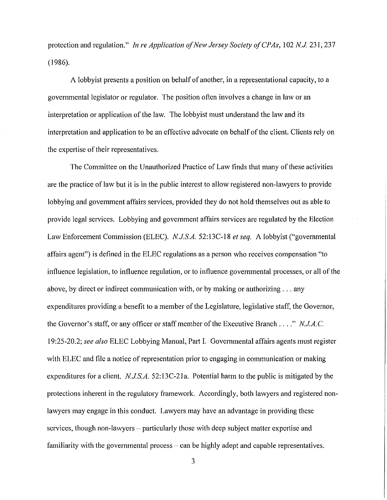protection and regulation." *In re Application of New Jersey Society of CPAs*, 102 N.J. 231, 237 (1986).

A lobbyist presents a position on behalf of another, in a representational capacity, to a governmental legislator or regulator. The position often involves a change in law or an interpretation or application of the law. The lobbyist must understand the law and its interpretation and application to be an effective advocate on behalf of the client. Clients rely on the expertise of their representatives.

The Committee on the Unauthorized Practice of Law finds that many of these activities are the practice of law but it is in the public interest to allow registered non-lawyers to provide lobbying and government affairs services, provided they do not hold themselves out as able to provide legal services. Lobbying and government affairs services are regulated by the Election Law Enforcement Commission (ELEC). *NJ.S.A.* 52: 13C-18 *et seq.* A lobbyist ("governmental affairs agent") is defined in the ELEC regulations as a person who receives compensation "to influence legislation, to influence regulation, or to influence governmental processes, or all of the above, by direct or indirect communication with, or by making or authorizing ... any expenditures providing a benefit to a member of the Legislature, legislative staff, the Governor, the Governor's staff, or any officer or staff member of the Executive Branch .... " *NJA.C.*  19:25-20.2; *see also* ELEC Lobbying Manual, Part I. Governmental affairs agents must register with ELEC and file a notice of representation prior to engaging in communication or making expenditures for a client. *N.JS.A.* 52:13C-21a. Potential harm to the public is mitigated by the protections inherent in the regulatory framework. Accordingly, both lawyers and registered nonlawyers may engage in this conduct. Lawyers may have an advantage in providing these services, though non-lawyers – particularly those with deep subject matter expertise and familiarity with the governmental process – can be highly adept and capable representatives.

3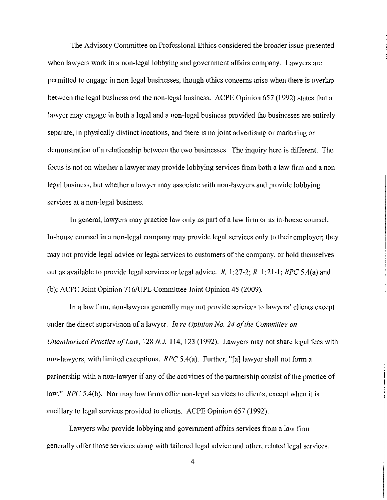The Advisory Committee on Professional Ethics considered the broader issue presented when lawyers work in a non-legal lobbying and government affairs company. Lawyers are permitted to engage in non-legal businesses, though ethics concerns arise when there is overlap between the legal business and the non-legal business. ACPE Opinion 657 (1992) states that a lawyer may engage in both a legal and a non-legal business provided the businesses are entirely separate, in physically distinct locations, and there is no joint advertising or marketing or demonstration of a relationship between the two businesses. The inquiry here is different. The focus is not on whether a lawyer may provide lobbying services from both a law firm and a nonlegal business, but whether a lawyer may associate with non-lawyers and provide lobbying services at a non-legal business.

In general, lawyers may practice law only as part of a law firm or as in-house counsel. In-house counsel in a non-legal company may provide legal services only to their employer; they may not provide legal advice or legal services to customers of the company, or hold themselves out as available to provide legal services or legal advice. *R.* I :27-2; *R.* I :21-1; *RPC* 5.4(a) and (b); ACPE Joint Opinion 716/UPL Committee Joint Opinion 45 (2009).

In a law firm, non-lawyers generally may not provide services to lawyers' clients except under the direct supervision of a lawyer. *Jnre Opinion No. 24 of the Committee on Unauthorized Practice of Law, 128 N.J.* 114, 123 (1992). Lawyers may not share legal fees with non-lawyers, with limited exceptions. *RPC* 5.4(a). Further, "[a] lawyer shall not form a partnership with a non-lawyer if any of the activities of the partnership consist of the practice of law." *RPC* 5.4(b). Nor may law firms offer non-legal services to clients, except when it is ancillary to legal services provided to clients. ACPE Opinion 657 (1992).

Lawyers who provide lobbying and government affairs services from a law firm generally offer those services along with tailored legal advice and other, related legal services.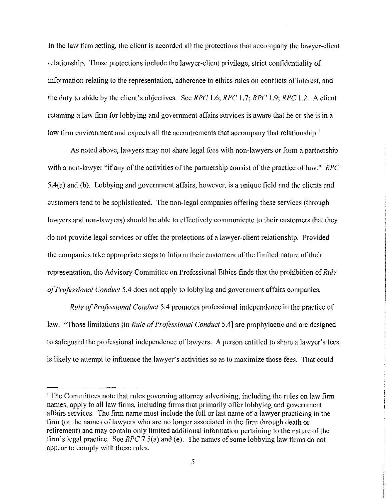In the law firm setting, the client is accorded all the protections that accompany the lawyer-client relationship. Those protections include the lawyer-client privilege, strict confidentiality of information relating to the representation, adherence to ethics rules on conflicts of interest, and the duty to abide by the client's objectives. See *RPC* 1.6; *RPC* 1.7; *RPC* 1.9; *RPC* 1.2. A client retaining a law firm for lobbying and government affairs services is aware that he or she is in a law firm environment and expects all the accoutrements that accompany that relationship.<sup>1</sup>

As noted above, lawyers may not share legal fees with non-lawyers or form a partnership with a non-lawyer "if any of the activities of the partnership consist of the practice of law." *RPC*  5.4(a) and (b). Lobbying and government affairs, however, is a unique field and the clients and customers tend to be sophisticated. The non-legal companies offering these services (through lawyers and non-lawyers) should be able to effectively communicate to their customers that they do not provide legal services or offer the protections of a lawyer-client relationship. Provided the companies take appropriate steps to inform their customers of the limited nature of their representation, the Advisory Committee on Professional Ethics finds that the prohibition of *Rule of Professional Conduct* 5.4 does not apply to lobbying and government affairs companies.

*Rule of Professional Conduct* 5.4 promotes professional independence in the practice of law. "Those limitations [in *Rule of Professional Conduct* 5.4] are prophylactic and are designed to safeguard the professional independence of lawyers. A person entitled to share a lawyer's fees is likely to attempt to influence the lawyer's activities so as to maximize those fees. That could

<sup>&</sup>lt;sup>1</sup> The Committees note that rules governing attorney advertising, including the rules on law firm names, apply to all law firms, including firms that primarily offer lobbying and government affairs services. The firm name must include the full or last name of a lawyer practicing in the firm (or the names of lawyers who are no longer associated in the firm through death or retirement) and may contain only limited additional information pertaining to the nature of the firm's legal practice. See *RPC* 7.5(a) and (e). The names of some lobbying law firms do not appear to comply with these rules.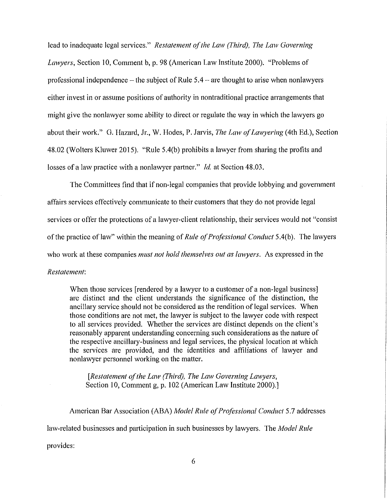lead to inadequate legal services." *Restatement of the Law (Third), The Law Governing Lawyers, Section 10, Comment b, p. 98 (American Law Institute 2000).* "Problems of professional independence- the subject of Rule 5.4- are thought to arise when nonlawyers either invest in or assume positions of authority in nontraditional practice arrangements that might give the nonlawyer some ability to direct or regulate the way in which the lawyers go about their work." G. Hazard, Jr., W. Hodes, P. Jarvis, *The Law of Lawyering* (4th Ed.), Section 48.02 (Wolters Kluwer 2015). "Rule 5.4(b) prohibits a lawyer from sharing the profits and losses of a law practice with a nonlawyer partner." *Id.* at Section 48.03.

The Committees find that if non-legal companies that provide lobbying and government affairs services effectively communicate to their customers that they do not provide legal services or offer the protections of a lawyer-client relationship, their services would not "consist of the practice of law" within the meaning of *Rule of Professional Conduct* 5.4(b). The lawyers who work at these companies *must not hold themselves out as lawyers.* As expressed in the *Restatement:* 

When those services [rendered by a lawyer to a customer of a non-legal business] are distinct and the client understands the significance of the distinction, the ancillary service should not be considered as the rendition of legal services. When those conditions are not met, the lawyer is subject to the lawyer code with respect to all services provided. Whether the services are distinct depends on the client's reasonably apparent understanding concerning such considerations as the nature of the respective ancillary-business and legal services, the physical location at which the services are provided, and the identities and affiliations of lawyer and nonlawyer personnel working on the matter.

*[Restatement of the Law (Third), The Law Governing Lawyers,*  Section 10, Comment g, p. 102 (American Law Institute 2000).]

American Bar Association (ABA) *Model Rule of Professional Conduct* 5.7 addresses law-related businesses and participation in such businesses by lawyers. The *Model Rule* provides: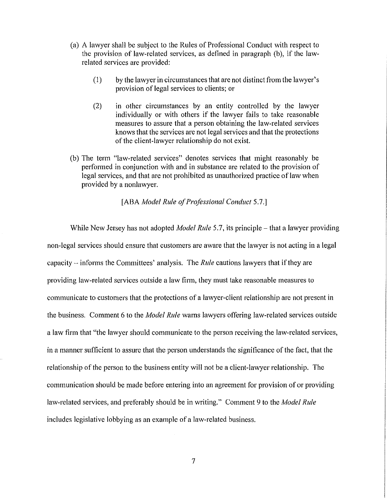- (a) A lawyer shall be subject to the Rules of Professional Conduct with respect to the provision of law-related services, as defined in paragraph (b), if the lawrelated services are provided:
	- (I) by the lawyer in circumstances that are not distinct from the lawyer's provision of legal services to clients; or
	- (2) in other circumstances by an entity controlled by the lawyer individually or with others if the lawyer fails to take reasonable measures to assure that a person obtaining the law-related services knows that the services are not legal services and that the protections of the client-lawyer relationship do not exist.
- (b) The term "law-related services" denotes services that might reasonably be performed in conjunction with and in substance are related to the provision of legal services, and that are not prohibited as unauthorized practice of law when provided by a nonlawyer.

[ABA *Model Rule of Professional Conduct 5.7.*]

While New Jersey has not adopted *Model Rule* 5.7, its principle – that a lawyer providing non-legal services should ensure that customers are aware that the lawyer is not acting in a legal capacity- informs the Committees' analysis. The *Rule* cautions lawyers that if they are providing law-related services outside a law firm, they must take reasonable measures to communicate to customers that the protections of a lawyer-client relationship are not present in the business. Comment 6 to the *Model Rule* warns lawyers offering law-related services outside a law firm that "the lawyer should communicate to the person receiving the law-related services, in a manner sufficient to assure that the person understands the significance of the fact, that the relationship of the person to the business entity will not be a client-lawyer relationship. The communication should be made before entering into an agreement for provision of or providing law-related services, and preferably should be in writing." Comment 9 to the *Model Rule*  includes legislative lobbying as an example of a law-related business.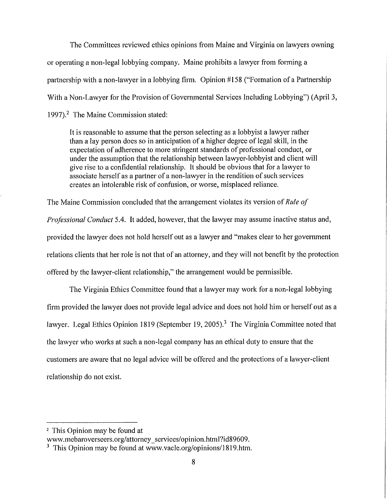The Committees reviewed ethics opinions from Maine and Virginia on lawyers owning or operating a non-legal lobbying company. Maine prohibits a lawyer from forming a partnership with a non-lawyer in a lobbying firm. Opinion #158 ("Formation of a Partnership With a Non-Lawyer for the Provision of Governmental Services Including Lobbying") (April 3, 1997).<sup>2</sup> The Maine Commission stated:

It is reasonable to assume that the person selecting as a lobbyist a lawyer rather than a lay person does so in anticipation of a higher degree of legal skill, in the expectation of adherence to more stringent standards of professional conduct, or under the assumption that the relationship between lawyer-lobbyist and client will give rise to a confidential relationship. It should be obvious that for a lawyer to associate herself as a partner of a non-lawyer in the rendition of such services creates an intolerable risk of confusion, or worse, misplaced reliance.

The Maine Commission concluded that the arrangement violates its version of *Rule of* 

*Professional Conduct* 5.4. It added, however, that the lawyer may assume inactive status and, provided the lawyer does not hold herself out as a lawyer and "makes clear to her government relations clients that her role is not that of an attorney, and they will not benefit by the protection offered by the lawyer-client relationship," the arrangement would be permissible.

The Virginia Ethics Committee found that a lawyer may work for a non-legal lobbying firm provided the lawyer does not provide legal advice and does not hold him or herself out as a lawyer. Legal Ethics Opinion 1819 (September 19, 2005).<sup>3</sup> The Virginia Committee noted that the lawyer who works at such a non-legal company has an ethical duty to ensure that the customers are aware that no legal advice will be offered and the protections of a lawyer-client relationship do not exist.

<sup>2</sup> This Opinion may be found at

www.mebaroverseers.org/attorney\_services/opinion.html?id89609.

 $3$  This Opinion may be found at www.vacle.org/opinions/1819.htm.